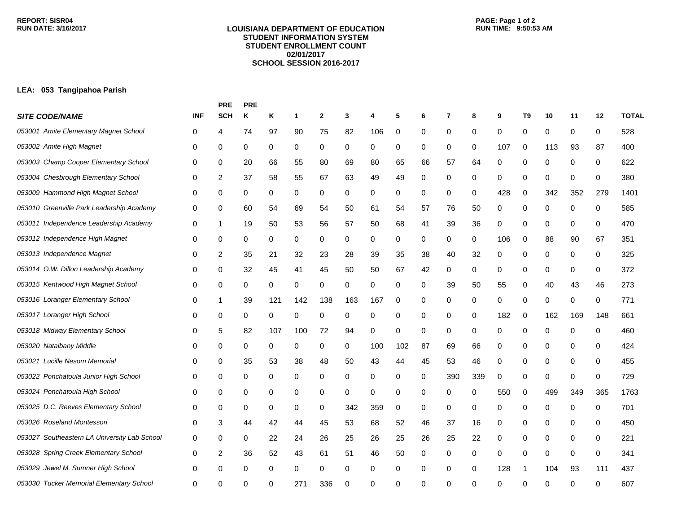## **LOUISIANA DEPARTMENT OF EDUCATION STUDENT INFORMATION SYSTEM STUDENT ENROLLMENT COUNT 02/01/2017 SCHOOL SESSION 2016-2017**

## **LEA: 053 Tangipahoa Parish**

|                                              |            | <b>PRE</b>              | <b>PRE</b> |              |     |              |     |     |     |    |                |     |          |    |     |             |              |              |  |
|----------------------------------------------|------------|-------------------------|------------|--------------|-----|--------------|-----|-----|-----|----|----------------|-----|----------|----|-----|-------------|--------------|--------------|--|
| <b>SITE CODE/NAME</b>                        | <b>INF</b> | <b>SCH</b>              | Κ          | Κ            | 1   | $\mathbf{2}$ | 3   | 4   | 5   | 6  | $\overline{7}$ | 8   | 9        | T9 | 10  | 11          | 12           | <b>TOTAL</b> |  |
| 053001 Amite Elementary Magnet School        | 0          | 4                       | 74         | 97           | 90  | 75           | 82  | 106 | 0   | 0  | 0              | 0   | 0        | 0  | 0   | 0           | 0            | 528          |  |
| 053002 Amite High Magnet                     | 0          | 0                       | 0          | 0            | 0   | 0            | 0   | 0   | 0   | 0  | 0              | 0   | 107      | 0  | 113 | 93          | 87           | 400          |  |
| 053003 Champ Cooper Elementary School        | 0          | 0                       | 20         | 66           | 55  | 80           | 69  | 80  | 65  | 66 | 57             | 64  | 0        | 0  | 0   | 0           | 0            | 622          |  |
| 053004 Chesbrough Elementary School          | 0          | 2                       | 37         | 58           | 55  | 67           | 63  | 49  | 49  | 0  | 0              | 0   | 0        | 0  | 0   | 0           | 0            | 380          |  |
| 053009 Hammond High Magnet School            | 0          | 0                       | 0          | 0            | 0   | 0            | 0   | 0   | 0   | 0  | 0              | 0   | 428      | 0  | 342 | 352         | 279          | 1401         |  |
| 053010 Greenville Park Leadership Academy    | 0          | 0                       | 60         | 54           | 69  | 54           | 50  | 61  | 54  | 57 | 76             | 50  | 0        | 0  | 0   | 0           | 0            | 585          |  |
| 053011 Independence Leadership Academy       | 0          | 1                       | 19         | 50           | 53  | 56           | 57  | 50  | 68  | 41 | 39             | 36  | 0        | 0  | 0   | 0           | 0            | 470          |  |
| 053012 Independence High Magnet              | 0          | 0                       | 0          | 0            | 0   | 0            | 0   | 0   | 0   | 0  | 0              | 0   | 106      | 0  | 88  | 90          | 67           | 351          |  |
| 053013 Independence Magnet                   | 0          | 2                       | 35         | 21           | 32  | 23           | 28  | 39  | 35  | 38 | 40             | 32  | 0        | 0  | 0   | 0           | 0            | 325          |  |
| 053014 O.W. Dillon Leadership Academy        | 0          | 0                       | 32         | 45           | 41  | 45           | 50  | 50  | 67  | 42 | 0              | 0   | 0        | 0  | 0   | 0           | 0            | 372          |  |
| 053015 Kentwood High Magnet School           | 0          | 0                       | 0          | 0            | 0   | 0            | 0   | 0   | 0   | 0  | 39             | 50  | 55       | 0  | 40  | 43          | 46           | 273          |  |
| 053016 Loranger Elementary School            | 0          | 1                       | 39         | 121          | 142 | 138          | 163 | 167 | 0   | 0  | 0              | 0   | 0        | 0  | 0   | 0           | 0            | 771          |  |
| 053017 Loranger High School                  | 0          | 0                       | 0          | 0            | 0   | 0            | 0   | 0   | 0   | 0  | 0              | 0   | 182      | 0  | 162 | 169         | 148          | 661          |  |
| 053018 Midway Elementary School              | 0          | 5                       | 82         | 107          | 100 | 72           | 94  | 0   | 0   | 0  | 0              | 0   | 0        | 0  | 0   | 0           | 0            | 460          |  |
| 053020 Natalbany Middle                      | 0          | 0                       | 0          | 0            | 0   | 0            | 0   | 100 | 102 | 87 | 69             | 66  | 0        | 0  | 0   | 0           | 0            | 424          |  |
| Lucille Nesom Memorial<br>053021             | 0          | 0                       | 35         | 53           | 38  | 48           | 50  | 43  | 44  | 45 | 53             | 46  | 0        | 0  | 0   | 0           | 0            | 455          |  |
| 053022 Ponchatoula Junior High School        | 0          | 0                       | 0          | 0            | 0   | 0            | 0   | 0   | 0   | 0  | 390            | 339 | 0        | 0  | 0   | 0           | 0            | 729          |  |
| 053024 Ponchatoula High School               | 0          | 0                       | 0          | 0            | 0   | 0            | 0   | 0   | 0   | 0  | 0              | 0   | 550      | 0  | 499 | 349         | 365          | 1763         |  |
| 053025 D.C. Reeves Elementary School         | 0          | 0                       | 0          | 0            | 0   | 0            | 342 | 359 | 0   | 0  | 0              | 0   | 0        | 0  | 0   | 0           | 0            | 701          |  |
| 053026 Roseland Montessori                   | 0          | 3                       | 44         | 42           | 44  | 45           | 53  | 68  | 52  | 46 | 37             | 16  | 0        | 0  | 0   | 0           | 0            | 450          |  |
| 053027 Southeastern LA University Lab School | 0          | 0                       | 0          | 22           | 24  | 26           | 25  | 26  | 25  | 26 | 25             | 22  | 0        | 0  | 0   | 0           | 0            | 221          |  |
| 053028 Spring Creek Elementary School        | 0          | $\overline{\mathbf{c}}$ | 36         | 52           | 43  | 61           | 51  | 46  | 50  | 0  | 0              | 0   | 0        | 0  | 0   | $\mathbf 0$ | 0            | 341          |  |
| 053029 Jewel M. Sumner High School           | 0          | 0                       | 0          | 0            | 0   | 0            | 0   | 0   | 0   | 0  | 0              | 0   | 128      |    | 104 | 93          | 111          | 437          |  |
| 053030 Tucker Memorial Elementary School     | 0          | U                       | ∩          | <sup>0</sup> | 27  | 336          | U   | 0   | 0   | U  | U              | 0   | $\Omega$ | ∩  | ∩   | O           | <sup>0</sup> | 607          |  |